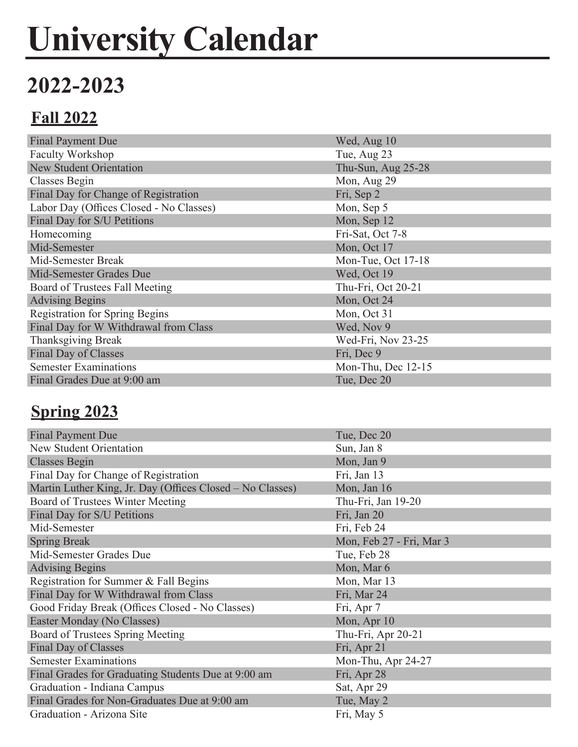# **University Calendar**

# **2022-2023**

### **Fall 2022**

| <b>Final Payment Due</b>                | Wed, Aug 10        |
|-----------------------------------------|--------------------|
| Faculty Workshop                        | Tue, Aug 23        |
| New Student Orientation                 | Thu-Sun, Aug 25-28 |
| Classes Begin                           | Mon, Aug 29        |
| Final Day for Change of Registration    | Fri, Sep 2         |
| Labor Day (Offices Closed - No Classes) | Mon, Sep 5         |
| Final Day for S/U Petitions             | Mon, Sep 12        |
| Homecoming                              | Fri-Sat, Oct 7-8   |
| Mid-Semester                            | Mon, Oct 17        |
| Mid-Semester Break                      | Mon-Tue, Oct 17-18 |
| Mid-Semester Grades Due                 | Wed, Oct 19        |
| Board of Trustees Fall Meeting          | Thu-Fri, Oct 20-21 |
| <b>Advising Begins</b>                  | Mon, Oct 24        |
| <b>Registration for Spring Begins</b>   | Mon, Oct 31        |
| Final Day for W Withdrawal from Class   | Wed, Nov 9         |
| Thanksgiving Break                      | Wed-Fri, Nov 23-25 |
| Final Day of Classes                    | Fri, Dec 9         |
| <b>Semester Examinations</b>            | Mon-Thu, Dec 12-15 |
| Final Grades Due at 9:00 am             | Tue, Dec 20        |

# **Spring 2023**

| Final Payment Due                                         | Tue, Dec 20              |
|-----------------------------------------------------------|--------------------------|
| <b>New Student Orientation</b>                            | Sun, Jan 8               |
| <b>Classes Begin</b>                                      | Mon, Jan 9               |
| Final Day for Change of Registration                      | Fri, Jan 13              |
| Martin Luther King, Jr. Day (Offices Closed - No Classes) | Mon, Jan 16              |
| Board of Trustees Winter Meeting                          | Thu-Fri, Jan 19-20       |
| Final Day for S/U Petitions                               | Fri, Jan 20              |
| Mid-Semester                                              | Fri, Feb 24              |
| <b>Spring Break</b>                                       | Mon, Feb 27 - Fri, Mar 3 |
| Mid-Semester Grades Due                                   | Tue, Feb 28              |
| <b>Advising Begins</b>                                    | Mon, Mar 6               |
| Registration for Summer & Fall Begins                     | Mon, Mar 13              |
| Final Day for W Withdrawal from Class                     | Fri, Mar 24              |
| Good Friday Break (Offices Closed - No Classes)           | Fri, Apr 7               |
| Easter Monday (No Classes)                                | Mon, Apr 10              |
| Board of Trustees Spring Meeting                          | Thu-Fri, Apr 20-21       |
| <b>Final Day of Classes</b>                               | Fri, Apr 21              |
| <b>Semester Examinations</b>                              | Mon-Thu, Apr 24-27       |
| Final Grades for Graduating Students Due at 9:00 am       | Fri, Apr 28              |
| Graduation - Indiana Campus                               | Sat, Apr 29              |
| Final Grades for Non-Graduates Due at 9:00 am             | Tue, May 2               |
| Graduation - Arizona Site                                 | Fri, May 5               |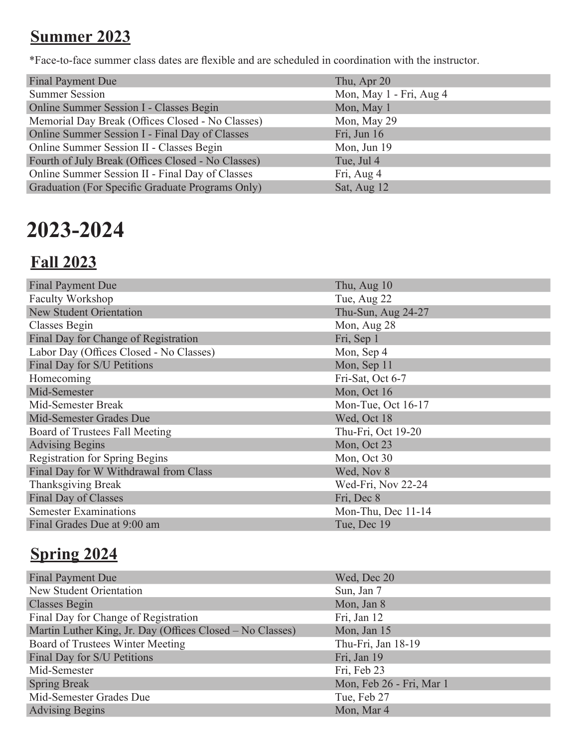#### **Summer 2023**

\*Face-to-face summer class dates are flexible and are scheduled in coordination with the instructor.

| Thu, Apr 20             |
|-------------------------|
| Mon, May 1 - Fri, Aug 4 |
| Mon, May 1              |
| Mon, May 29             |
| Fri, Jun 16             |
| Mon, Jun 19             |
| Tue, Jul 4              |
| Fri, Aug 4              |
| Sat, Aug 12             |
|                         |

# **2023-2024**

### **Fall 2023**

| Final Payment Due                       | Thu, Aug 10        |
|-----------------------------------------|--------------------|
| Faculty Workshop                        | Tue, Aug 22        |
| <b>New Student Orientation</b>          | Thu-Sun, Aug 24-27 |
| Classes Begin                           | Mon, Aug 28        |
| Final Day for Change of Registration    | Fri, Sep 1         |
| Labor Day (Offices Closed - No Classes) | Mon, Sep 4         |
| Final Day for S/U Petitions             | Mon, Sep 11        |
| Homecoming                              | Fri-Sat, Oct 6-7   |
| Mid-Semester                            | Mon, Oct 16        |
| Mid-Semester Break                      | Mon-Tue, Oct 16-17 |
| Mid-Semester Grades Due                 | Wed, Oct 18        |
| Board of Trustees Fall Meeting          | Thu-Fri, Oct 19-20 |
| <b>Advising Begins</b>                  | Mon, Oct 23        |
| <b>Registration for Spring Begins</b>   | Mon, Oct 30        |
| Final Day for W Withdrawal from Class   | Wed, Nov 8         |
| Thanksgiving Break                      | Wed-Fri, Nov 22-24 |
| Final Day of Classes                    | Fri, Dec 8         |
| <b>Semester Examinations</b>            | Mon-Thu, Dec 11-14 |
| Final Grades Due at 9:00 am             | Tue, Dec 19        |

## **Spring 2024**

| <b>Final Payment Due</b>                                  | Wed, Dec 20              |
|-----------------------------------------------------------|--------------------------|
| New Student Orientation                                   | Sun, Jan 7               |
| <b>Classes Begin</b>                                      | Mon, Jan 8               |
| Final Day for Change of Registration                      | Fri, Jan 12              |
| Martin Luther King, Jr. Day (Offices Closed – No Classes) | Mon, Jan 15              |
| Board of Trustees Winter Meeting                          | Thu-Fri, Jan 18-19       |
| Final Day for S/U Petitions                               | Fri, Jan 19              |
| Mid-Semester                                              | Fri, Feb 23              |
| <b>Spring Break</b>                                       | Mon, Feb 26 - Fri, Mar 1 |
| Mid-Semester Grades Due                                   | Tue, Feb 27              |
| <b>Advising Begins</b>                                    | Mon, Mar 4               |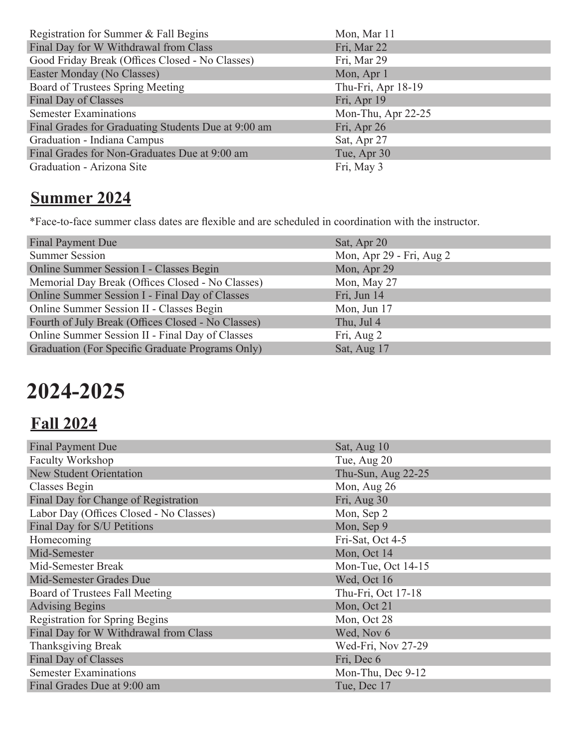| Registration for Summer & Fall Begins               | Mon, Mar 11        |
|-----------------------------------------------------|--------------------|
| Final Day for W Withdrawal from Class               | Fri, Mar 22        |
| Good Friday Break (Offices Closed - No Classes)     | Fri, Mar 29        |
| Easter Monday (No Classes)                          | Mon, Apr 1         |
| Board of Trustees Spring Meeting                    | Thu-Fri, Apr 18-19 |
| Final Day of Classes                                | Fri, Apr 19        |
| <b>Semester Examinations</b>                        | Mon-Thu, Apr 22-25 |
| Final Grades for Graduating Students Due at 9:00 am | Fri, Apr 26        |
| Graduation - Indiana Campus                         | Sat, Apr 27        |
| Final Grades for Non-Graduates Due at 9:00 am       | Tue, Apr 30        |
| Graduation - Arizona Site                           | Fri, May 3         |

### **Summer 2024**

\*Face-to-face summer class dates are flexible and are scheduled in coordination with the instructor.

| <b>Final Payment Due</b>                           | Sat, Apr 20              |
|----------------------------------------------------|--------------------------|
| <b>Summer Session</b>                              | Mon, Apr 29 - Fri, Aug 2 |
| Online Summer Session I - Classes Begin            | Mon, Apr 29              |
| Memorial Day Break (Offices Closed - No Classes)   | Mon, May 27              |
| Online Summer Session I - Final Day of Classes     | Fri, Jun 14              |
| Online Summer Session II - Classes Begin           | Mon, Jun 17              |
| Fourth of July Break (Offices Closed - No Classes) | Thu, Jul 4               |
| Online Summer Session II - Final Day of Classes    | Fri, Aug 2               |
| Graduation (For Specific Graduate Programs Only)   | Sat, Aug 17              |
|                                                    |                          |

# **2024-2025**

### **Fall 2024**

| <b>Final Payment Due</b>                | Sat, Aug 10        |
|-----------------------------------------|--------------------|
| Faculty Workshop                        | Tue, Aug 20        |
| <b>New Student Orientation</b>          | Thu-Sun, Aug 22-25 |
| Classes Begin                           | Mon, Aug 26        |
| Final Day for Change of Registration    | Fri, Aug 30        |
| Labor Day (Offices Closed - No Classes) | Mon, Sep 2         |
| Final Day for S/U Petitions             | Mon, Sep 9         |
| Homecoming                              | Fri-Sat, Oct 4-5   |
| Mid-Semester                            | Mon, Oct 14        |
| Mid-Semester Break                      | Mon-Tue, Oct 14-15 |
| Mid-Semester Grades Due                 | Wed, Oct 16        |
| Board of Trustees Fall Meeting          | Thu-Fri, Oct 17-18 |
| <b>Advising Begins</b>                  | Mon, Oct 21        |
| <b>Registration for Spring Begins</b>   | Mon, Oct 28        |
| Final Day for W Withdrawal from Class   | Wed, Nov 6         |
| Thanksgiving Break                      | Wed-Fri, Nov 27-29 |
| Final Day of Classes                    | Fri, Dec 6         |
| <b>Semester Examinations</b>            | Mon-Thu, Dec 9-12  |
| Final Grades Due at 9:00 am             | Tue, Dec 17        |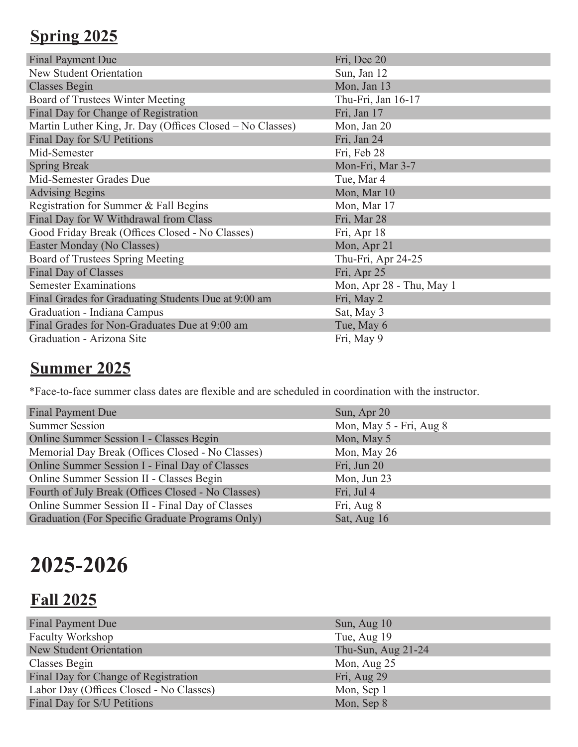### **Spring 2025**

| <b>Final Payment Due</b>                                  | Fri, Dec 20              |
|-----------------------------------------------------------|--------------------------|
| New Student Orientation                                   | Sun, Jan 12              |
| <b>Classes Begin</b>                                      | Mon, Jan 13              |
| Board of Trustees Winter Meeting                          | Thu-Fri, Jan 16-17       |
| Final Day for Change of Registration                      | Fri, Jan 17              |
| Martin Luther King, Jr. Day (Offices Closed – No Classes) | Mon, Jan 20              |
| Final Day for S/U Petitions                               | Fri, Jan 24              |
| Mid-Semester                                              | Fri, Feb 28              |
| <b>Spring Break</b>                                       | Mon-Fri, Mar 3-7         |
| Mid-Semester Grades Due                                   | Tue, Mar 4               |
| <b>Advising Begins</b>                                    | Mon, Mar 10              |
| Registration for Summer & Fall Begins                     | Mon, Mar 17              |
| Final Day for W Withdrawal from Class                     | Fri, Mar 28              |
| Good Friday Break (Offices Closed - No Classes)           | Fri, Apr 18              |
| Easter Monday (No Classes)                                | Mon, Apr 21              |
| Board of Trustees Spring Meeting                          | Thu-Fri, Apr 24-25       |
| Final Day of Classes                                      | Fri, Apr 25              |
| <b>Semester Examinations</b>                              | Mon, Apr 28 - Thu, May 1 |
| Final Grades for Graduating Students Due at 9:00 am       | Fri, May 2               |
| Graduation - Indiana Campus                               | Sat, May 3               |
| Final Grades for Non-Graduates Due at 9:00 am             | Tue, May 6               |
| Graduation - Arizona Site                                 | Fri, May 9               |

#### **Summer 2025**

\*Face-to-face summer class dates are flexible and are scheduled in coordination with the instructor.

| Final Payment Due                                  | Sun, Apr 20             |
|----------------------------------------------------|-------------------------|
| <b>Summer Session</b>                              | Mon, May 5 - Fri, Aug 8 |
| Online Summer Session I - Classes Begin            | Mon, May 5              |
| Memorial Day Break (Offices Closed - No Classes)   | Mon, May 26             |
| Online Summer Session I - Final Day of Classes     | Fri, Jun 20             |
| Online Summer Session II - Classes Begin           | Mon, Jun 23             |
| Fourth of July Break (Offices Closed - No Classes) | Fri, Jul 4              |
| Online Summer Session II - Final Day of Classes    | Fri, Aug 8              |
| Graduation (For Specific Graduate Programs Only)   | Sat, Aug 16             |

# **2025-2026**

### **Fall 2025**

| Final Payment Due                       | Sun, Aug $10$      |
|-----------------------------------------|--------------------|
| <b>Faculty Workshop</b>                 | Tue, Aug 19        |
| <b>New Student Orientation</b>          | Thu-Sun, Aug 21-24 |
| Classes Begin                           | Mon, Aug 25        |
| Final Day for Change of Registration    | Fri, Aug 29        |
| Labor Day (Offices Closed - No Classes) | Mon, Sep 1         |
| Final Day for S/U Petitions             | Mon, Sep 8         |